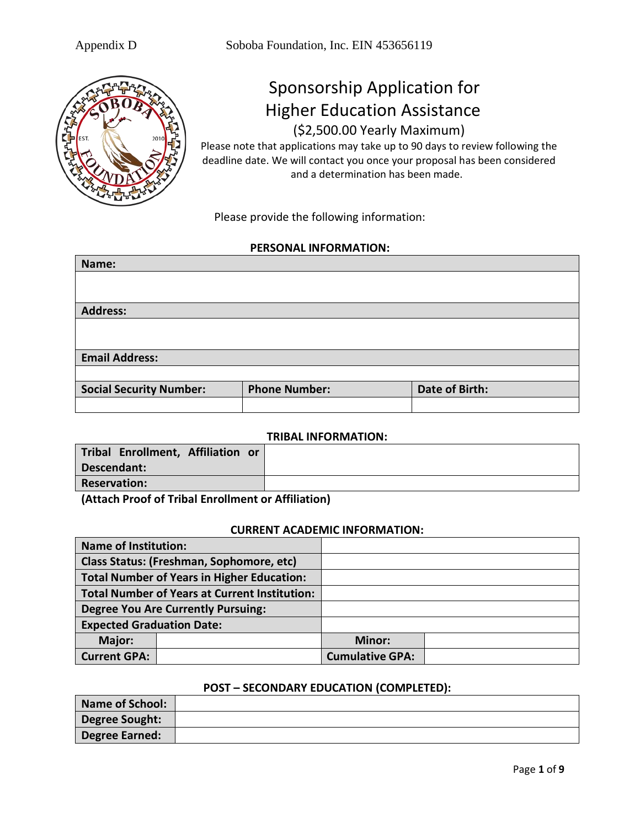

# Sponsorship Application for Higher Education Assistance (\$2,500.00 Yearly Maximum)

Please note that applications may take up to 90 days to review following the deadline date. We will contact you once your proposal has been considered and a determination has been made.

Please provide the following information:

#### **PERSONAL INFORMATION:**

| Name:                          |                      |                |
|--------------------------------|----------------------|----------------|
|                                |                      |                |
|                                |                      |                |
| <b>Address:</b>                |                      |                |
|                                |                      |                |
|                                |                      |                |
| <b>Email Address:</b>          |                      |                |
|                                |                      |                |
| <b>Social Security Number:</b> | <b>Phone Number:</b> | Date of Birth: |
|                                |                      |                |

#### **TRIBAL INFORMATION:**

| Tribal Enrollment, Affiliation or |  |
|-----------------------------------|--|
| Descendant:                       |  |
| <b>Reservation:</b>               |  |
| .                                 |  |

**(Attach Proof of Tribal Enrollment or Affiliation)**

#### **CURRENT ACADEMIC INFORMATION:**

| <b>Name of Institution:</b>              |                                                      |                        |  |
|------------------------------------------|------------------------------------------------------|------------------------|--|
| Class Status: (Freshman, Sophomore, etc) |                                                      |                        |  |
|                                          | <b>Total Number of Years in Higher Education:</b>    |                        |  |
|                                          | <b>Total Number of Years at Current Institution:</b> |                        |  |
|                                          | <b>Degree You Are Currently Pursuing:</b>            |                        |  |
| <b>Expected Graduation Date:</b>         |                                                      |                        |  |
| Major:                                   |                                                      | Minor:                 |  |
| <b>Current GPA:</b>                      |                                                      | <b>Cumulative GPA:</b> |  |

#### **POST – SECONDARY EDUCATION (COMPLETED):**

| <b>Name of School:</b> |  |
|------------------------|--|
| <b>Degree Sought:</b>  |  |
| <b>Degree Earned:</b>  |  |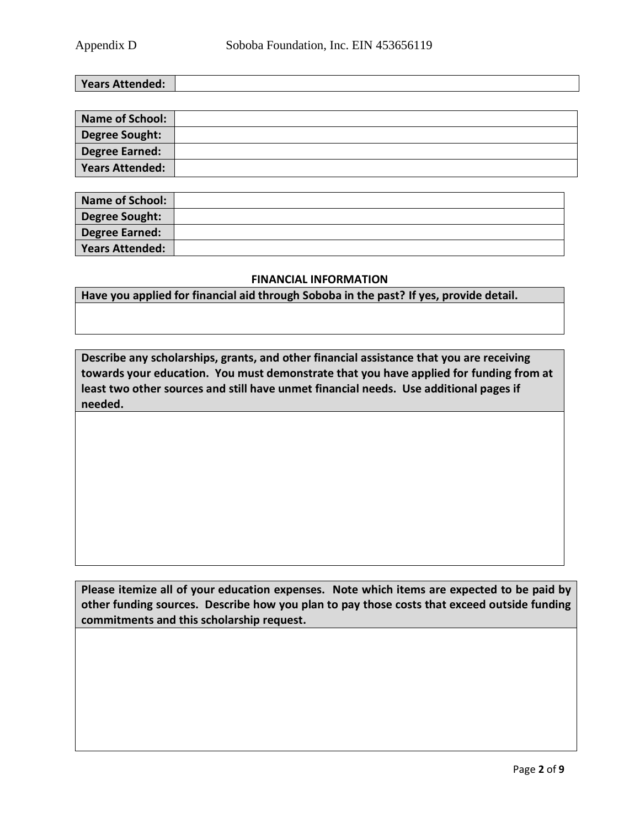**Years Attended:**

| <b>Name of School:</b> |  |
|------------------------|--|
| Degree Sought:         |  |
| Degree Earned:         |  |
| Years Attended:        |  |

| <b>Name of School:</b> |  |
|------------------------|--|
| Degree Sought:         |  |
| <b>Degree Earned:</b>  |  |
| Years Attended:        |  |

#### **FINANCIAL INFORMATION**

**Have you applied for financial aid through Soboba in the past? If yes, provide detail.**

**Describe any scholarships, grants, and other financial assistance that you are receiving towards your education. You must demonstrate that you have applied for funding from at least two other sources and still have unmet financial needs. Use additional pages if needed.**

**Please itemize all of your education expenses. Note which items are expected to be paid by other funding sources. Describe how you plan to pay those costs that exceed outside funding commitments and this scholarship request.**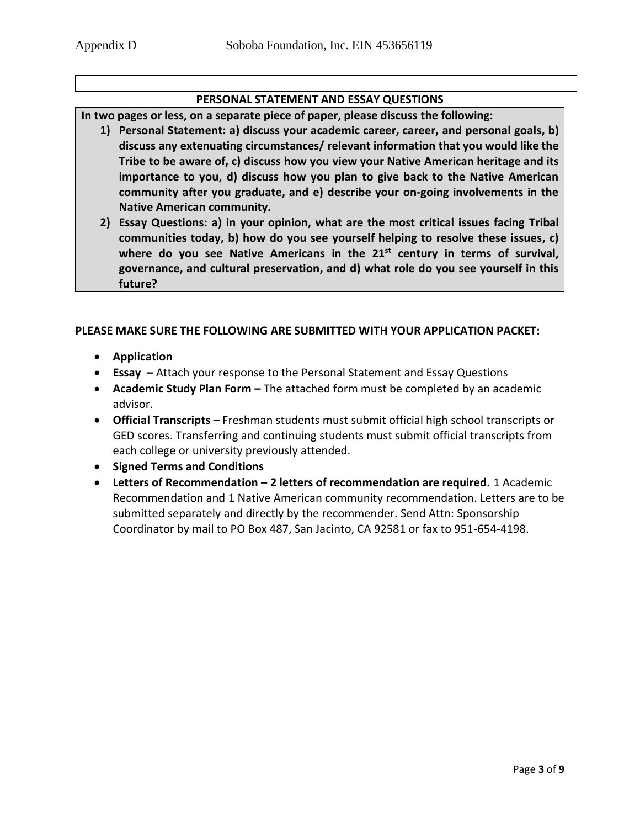## **PERSONAL STATEMENT AND ESSAY QUESTIONS**

**In two pages or less, on a separate piece of paper, please discuss the following:**

- **1) Personal Statement: a) discuss your academic career, career, and personal goals, b) discuss any extenuating circumstances/ relevant information that you would like the Tribe to be aware of, c) discuss how you view your Native American heritage and its importance to you, d) discuss how you plan to give back to the Native American community after you graduate, and e) describe your on-going involvements in the Native American community.**
- **2) Essay Questions: a) in your opinion, what are the most critical issues facing Tribal communities today, b) how do you see yourself helping to resolve these issues, c) where do you see Native Americans in the 21st century in terms of survival, governance, and cultural preservation, and d) what role do you see yourself in this future?**

## **PLEASE MAKE SURE THE FOLLOWING ARE SUBMITTED WITH YOUR APPLICATION PACKET:**

- **Application**
- **Essay –** Attach your response to the Personal Statement and Essay Questions
- **Academic Study Plan Form –** The attached form must be completed by an academic advisor.
- **Official Transcripts –** Freshman students must submit official high school transcripts or GED scores. Transferring and continuing students must submit official transcripts from each college or university previously attended.
- **Signed Terms and Conditions**
- **Letters of Recommendation – 2 letters of recommendation are required.** 1 Academic Recommendation and 1 Native American community recommendation. Letters are to be submitted separately and directly by the recommender. Send Attn: Sponsorship Coordinator by mail to PO Box 487, San Jacinto, CA 92581 or fax to 951-654-4198.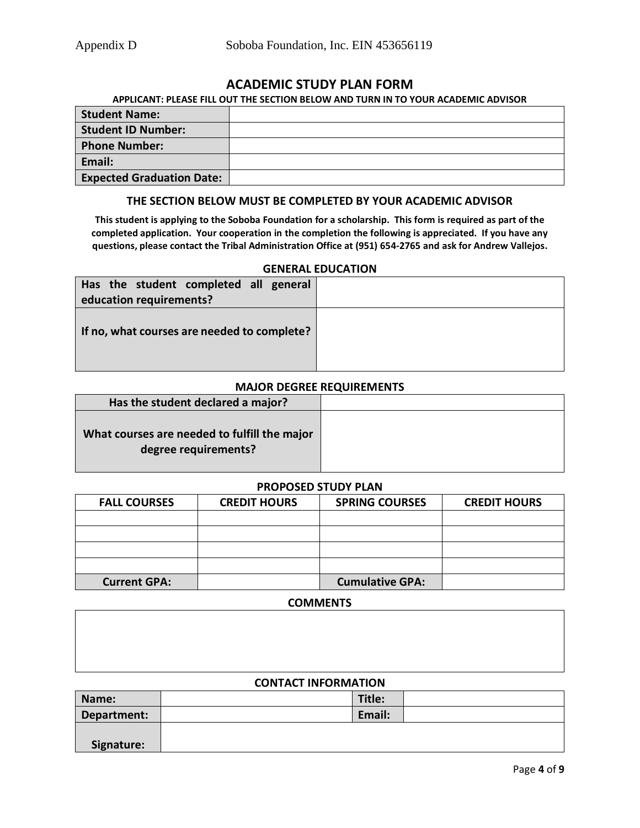## **ACADEMIC STUDY PLAN FORM**

#### **APPLICANT: PLEASE FILL OUT THE SECTION BELOW AND TURN IN TO YOUR ACADEMIC ADVISOR**

| <b>Student Name:</b>             |  |
|----------------------------------|--|
| <b>Student ID Number:</b>        |  |
| <b>Phone Number:</b>             |  |
| Email:                           |  |
| <b>Expected Graduation Date:</b> |  |

#### **THE SECTION BELOW MUST BE COMPLETED BY YOUR ACADEMIC ADVISOR**

**This student is applying to the Soboba Foundation for a scholarship. This form is required as part of the completed application. Your cooperation in the completion the following is appreciated. If you have any questions, please contact the Tribal Administration Office at (951) 654-2765 and ask for Andrew Vallejos.**

#### **GENERAL EDUCATION**

| Has the student completed all general<br>education requirements? |  |
|------------------------------------------------------------------|--|
| If no, what courses are needed to complete?                      |  |

#### **MAJOR DEGREE REQUIREMENTS**

| Has the student declared a major?                                    |  |
|----------------------------------------------------------------------|--|
| What courses are needed to fulfill the major<br>degree requirements? |  |

#### **PROPOSED STUDY PLAN**

| <b>FALL COURSES</b> | <b>CREDIT HOURS</b> | <b>SPRING COURSES</b>  | <b>CREDIT HOURS</b> |
|---------------------|---------------------|------------------------|---------------------|
|                     |                     |                        |                     |
|                     |                     |                        |                     |
|                     |                     |                        |                     |
|                     |                     |                        |                     |
| <b>Current GPA:</b> |                     | <b>Cumulative GPA:</b> |                     |

#### **COMMENTS**

#### **CONTACT INFORMATION**

| Name:       | Title: |  |
|-------------|--------|--|
| Department: | Email: |  |
|             |        |  |
| Signature:  |        |  |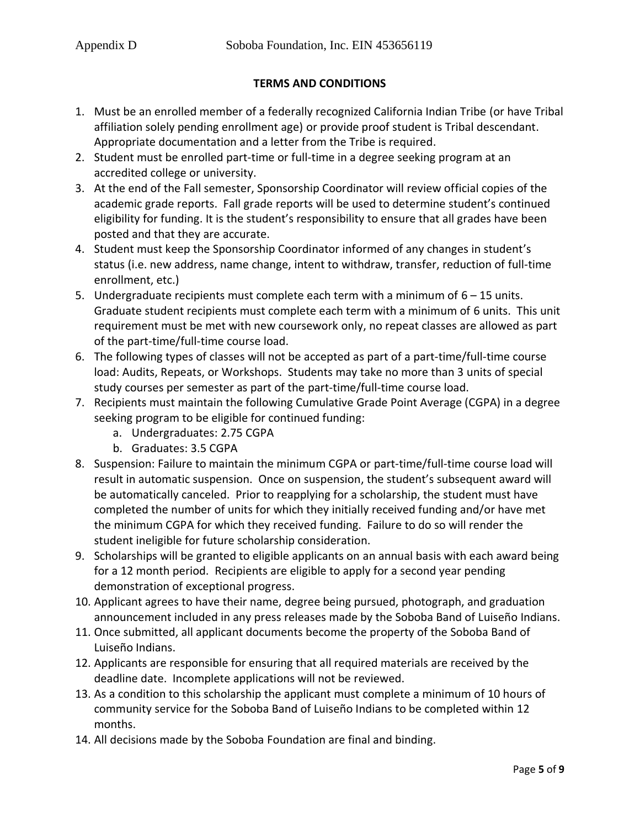## **TERMS AND CONDITIONS**

- 1. Must be an enrolled member of a federally recognized California Indian Tribe (or have Tribal affiliation solely pending enrollment age) or provide proof student is Tribal descendant. Appropriate documentation and a letter from the Tribe is required.
- 2. Student must be enrolled part-time or full-time in a degree seeking program at an accredited college or university.
- 3. At the end of the Fall semester, Sponsorship Coordinator will review official copies of the academic grade reports. Fall grade reports will be used to determine student's continued eligibility for funding. It is the student's responsibility to ensure that all grades have been posted and that they are accurate.
- 4. Student must keep the Sponsorship Coordinator informed of any changes in student's status (i.e. new address, name change, intent to withdraw, transfer, reduction of full-time enrollment, etc.)
- 5. Undergraduate recipients must complete each term with a minimum of  $6 15$  units. Graduate student recipients must complete each term with a minimum of 6 units. This unit requirement must be met with new coursework only, no repeat classes are allowed as part of the part-time/full-time course load.
- 6. The following types of classes will not be accepted as part of a part-time/full-time course load: Audits, Repeats, or Workshops. Students may take no more than 3 units of special study courses per semester as part of the part-time/full-time course load.
- 7. Recipients must maintain the following Cumulative Grade Point Average (CGPA) in a degree seeking program to be eligible for continued funding:
	- a. Undergraduates: 2.75 CGPA
	- b. Graduates: 3.5 CGPA
- 8. Suspension: Failure to maintain the minimum CGPA or part-time/full-time course load will result in automatic suspension. Once on suspension, the student's subsequent award will be automatically canceled. Prior to reapplying for a scholarship, the student must have completed the number of units for which they initially received funding and/or have met the minimum CGPA for which they received funding. Failure to do so will render the student ineligible for future scholarship consideration.
- 9. Scholarships will be granted to eligible applicants on an annual basis with each award being for a 12 month period. Recipients are eligible to apply for a second year pending demonstration of exceptional progress.
- 10. Applicant agrees to have their name, degree being pursued, photograph, and graduation announcement included in any press releases made by the Soboba Band of Luiseño Indians.
- 11. Once submitted, all applicant documents become the property of the Soboba Band of Luiseño Indians.
- 12. Applicants are responsible for ensuring that all required materials are received by the deadline date. Incomplete applications will not be reviewed.
- 13. As a condition to this scholarship the applicant must complete a minimum of 10 hours of community service for the Soboba Band of Luiseño Indians to be completed within 12 months.
- 14. All decisions made by the Soboba Foundation are final and binding.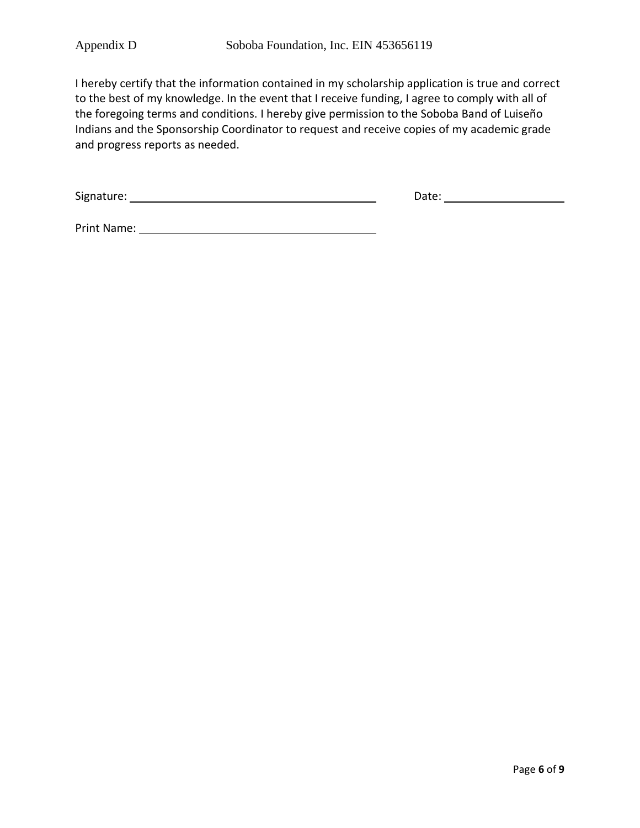I hereby certify that the information contained in my scholarship application is true and correct to the best of my knowledge. In the event that I receive funding, I agree to comply with all of the foregoing terms and conditions. I hereby give permission to the Soboba Band of Luiseño Indians and the Sponsorship Coordinator to request and receive copies of my academic grade and progress reports as needed.

Signature: Date: Date: Date: Date: Date: Date: Date: Date: Date: Date: Date: Date: Date: Date: Date: Date: Date: Date: Date: Date: Date: Date: Date: Date: Date: Date: Date: Date: Date: Date: Date: Date: Date: Date: Date: D

Print Name: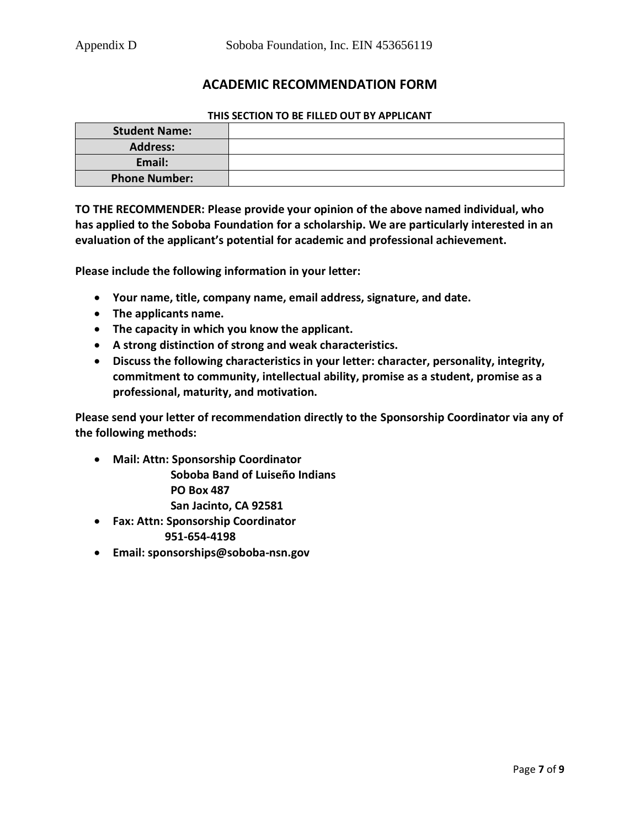## **ACADEMIC RECOMMENDATION FORM**

#### **THIS SECTION TO BE FILLED OUT BY APPLICANT**

| <b>Student Name:</b> |  |
|----------------------|--|
| <b>Address:</b>      |  |
| Email:               |  |
| <b>Phone Number:</b> |  |

**TO THE RECOMMENDER: Please provide your opinion of the above named individual, who has applied to the Soboba Foundation for a scholarship. We are particularly interested in an evaluation of the applicant's potential for academic and professional achievement.** 

**Please include the following information in your letter:**

- **Your name, title, company name, email address, signature, and date.**
- **The applicants name.**
- **The capacity in which you know the applicant.**
- **A strong distinction of strong and weak characteristics.**
- **Discuss the following characteristics in your letter: character, personality, integrity, commitment to community, intellectual ability, promise as a student, promise as a professional, maturity, and motivation.**

**Please send your letter of recommendation directly to the Sponsorship Coordinator via any of the following methods:**

• **Mail: Attn: Sponsorship Coordinator**

 **Soboba Band of Luiseño Indians PO Box 487 San Jacinto, CA 92581**

- **Fax: Attn: Sponsorship Coordinator 951-654-4198**
- **Email: sponsorships@soboba-nsn.gov**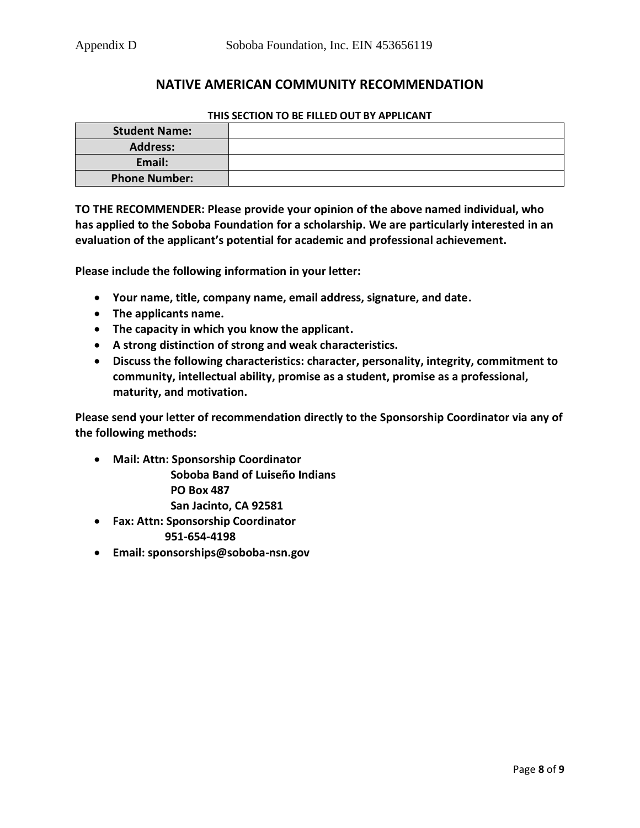## **NATIVE AMERICAN COMMUNITY RECOMMENDATION**

## **THIS SECTION TO BE FILLED OUT BY APPLICANT**

| <b>Student Name:</b> |  |
|----------------------|--|
| <b>Address:</b>      |  |
| Email:               |  |
| <b>Phone Number:</b> |  |

**TO THE RECOMMENDER: Please provide your opinion of the above named individual, who has applied to the Soboba Foundation for a scholarship. We are particularly interested in an evaluation of the applicant's potential for academic and professional achievement.** 

**Please include the following information in your letter:**

- **Your name, title, company name, email address, signature, and date.**
- **The applicants name.**
- **The capacity in which you know the applicant.**
- **A strong distinction of strong and weak characteristics.**
- **Discuss the following characteristics: character, personality, integrity, commitment to community, intellectual ability, promise as a student, promise as a professional, maturity, and motivation.**

**Please send your letter of recommendation directly to the Sponsorship Coordinator via any of the following methods:**

• **Mail: Attn: Sponsorship Coordinator**

 **Soboba Band of Luiseño Indians PO Box 487 San Jacinto, CA 92581**

- **Fax: Attn: Sponsorship Coordinator 951-654-4198**
- **Email: sponsorships@soboba-nsn.gov**